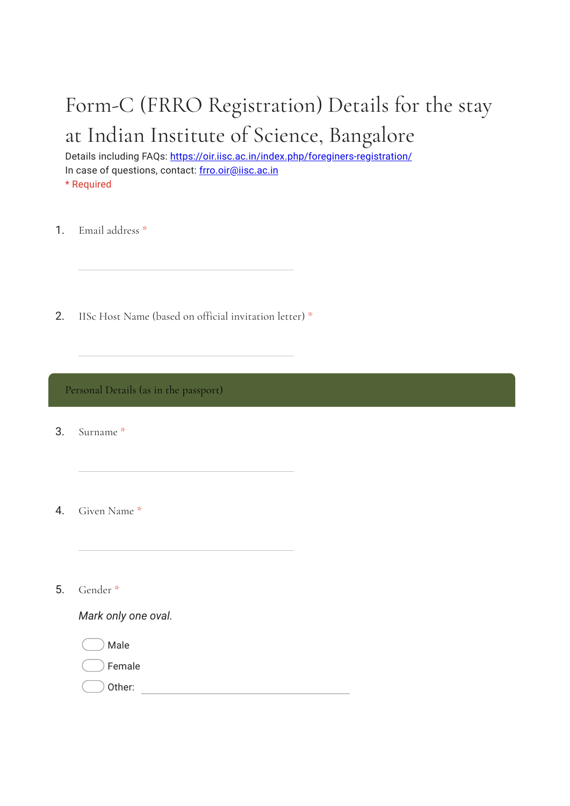# Form-C (FRRO Registration) Details for the stay at Indian Institute of Science, Bangalore

Details including FAQs: https://oir.iisc.ac.in/index.php/foreginers-registration/ In case of questions, contact: frro.oir@iisc.ac.in \* Required

1. Email address \*

2. IISc Host Name (based on official invitation letter) \*

Personal Details (as in the passport)

3. Surname \*

4. Given Name \*

5. Gender \*

*Mark only one oval.*

Male Female

Other: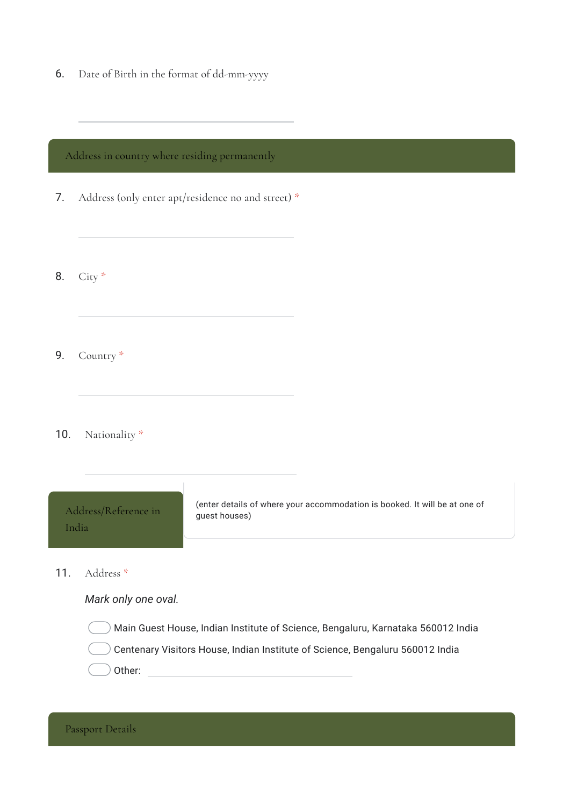6. Date of Birth in the format of dd-mm-yyyy

## Address in country where residing permanently

- 7. Address (only enter apt/residence no and street) \*
- 8. City \*

9. Country \*

#### 10. Nationality \*

| Address/Reference in | (enter details of where your accommodation is booked. It will be at one of |
|----------------------|----------------------------------------------------------------------------|
| India                | guest houses)                                                              |
|                      |                                                                            |

11. Address \*

### *Mark only one oval.*

Other: when the contract of the contract of the contract of the contract of the contract of the contract of the contract of the contract of the contract of the contract of the contract of the contract of the contract of th Main Guest House, Indian Institute of Science, Bengaluru, Karnataka 560012 India Centenary Visitors House, Indian Institute of Science, Bengaluru 560012 India

Passport Details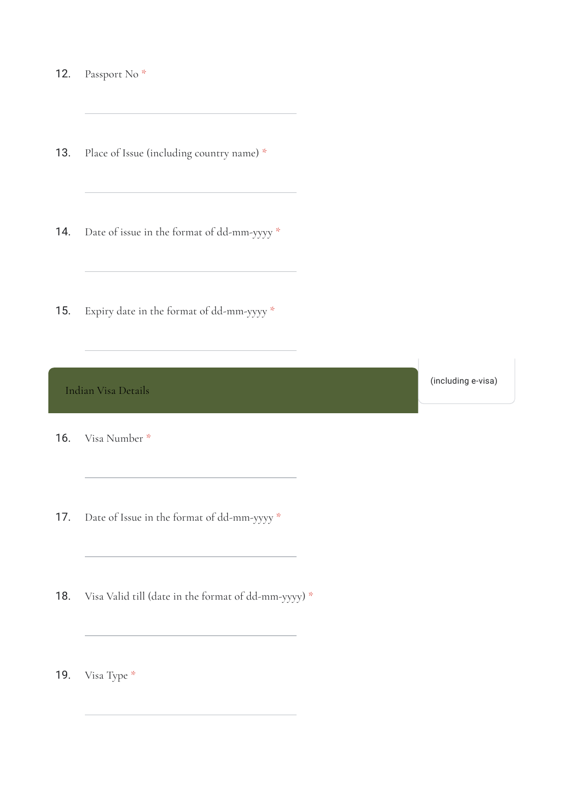12. Passport No \*

13. Place of Issue (including country name) \*

- 14. Date of issue in the format of dd-mm-yyyy \*
- 15. Expiry date in the format of dd-mm-yyyy \*

Indian Visa Details

(including e-visa)

- 16. Visa Number \*
- 17. Date of Issue in the format of dd-mm-yyyy \*

18. Visa Valid till (date in the format of dd-mm-yyyy) \*

19. Visa Type \*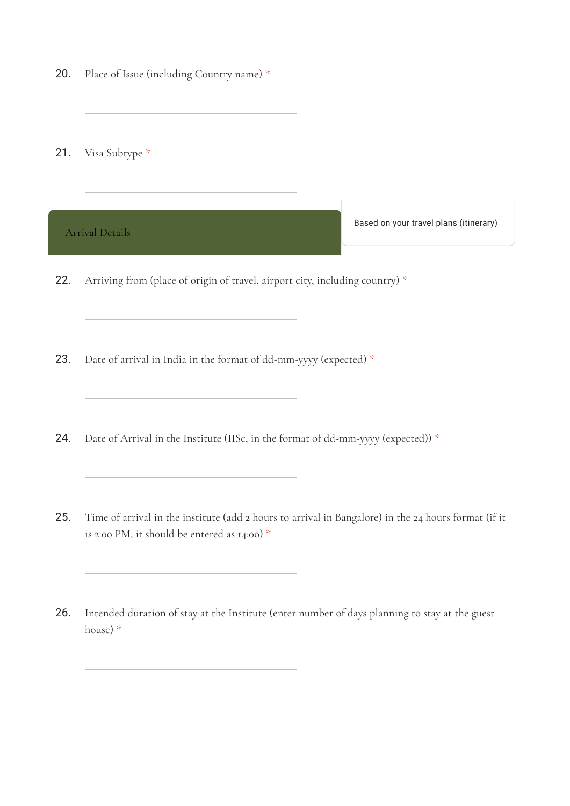- 20. Place of Issue (including Country name) \*
- 21. Visa Subtype \*



23. Date of arrival in India in the format of dd-mm-yyyy (expected) \*

- 24. Date of Arrival in the Institute (IISc, in the format of dd-mm-yyyy (expected)) \*
- 25. Time of arrival in the institute (add 2 hours to arrival in Bangalore) in the 24 hours format (if it is 2:00 PM, it should be entered as 14:00) \*
- 26. Intended duration of stay at the Institute (enter number of days planning to stay at the guest house) \*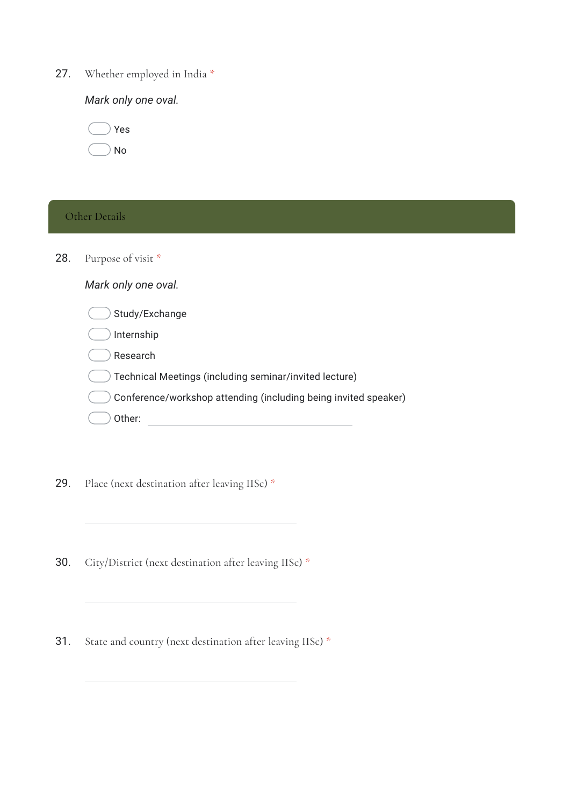27. Whether employed in India \*

*Mark only one oval.*

|  | Yes |
|--|-----|
|  | No  |

## Other Details

28. Purpose of visit \*

| Mark only one oval. |  |  |  |
|---------------------|--|--|--|
|---------------------|--|--|--|

| Study/Exchange                                                  |  |
|-----------------------------------------------------------------|--|
| Internship                                                      |  |
| Research                                                        |  |
| Technical Meetings (including seminar/invited lecture)          |  |
| Conference/workshop attending (including being invited speaker) |  |
| Other:                                                          |  |

29. Place (next destination after leaving IISc) \*

30. City/District (next destination after leaving IISc) \*

31. State and country (next destination after leaving IISc) \*